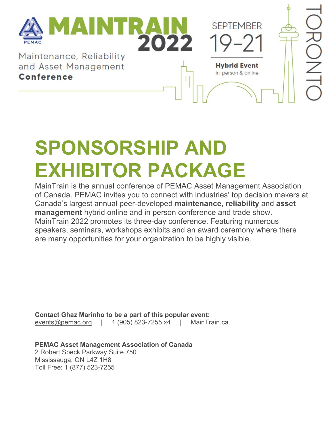

# **SPONSORSHIP AND EXHIBITOR PACKAGE**

MainTrain is the annual conference of PEMAC Asset Management Association of Canada. PEMAC invites you to connect with industries' top decision makers at Canada's largest annual peer-developed **maintenance**, **reliability** and **asset management** hybrid online and in person conference and trade show. MainTrain 2022 promotes its three-day conference. Featuring numerous speakers, seminars, workshops exhibits and an award ceremony where there are many opportunities for your organization to be highly visible.

**Contact Ghaz Marinho to be a part of this popular event:** [events@pemac.org](mailto:events@pemac.org) | 1 (905) 823-7255 x4 | MainTrain.ca

**PEMAC Asset Management Association of Canada** 2 Robert Speck Parkway Suite 750 Mississauga, ON L4Z 1H8 Toll Free: 1 (877) 523-7255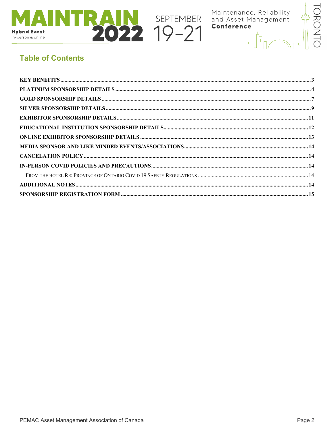

**NEXT SEPTEMBER** 

Maintenance, Reliability<br>and Asset Management<br>**Conference** 



# **Table of Contents**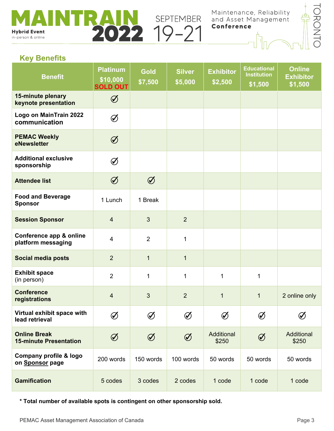**Hybrid Event** in-person & online

**SEPTEMBER**<br>022 19-21

Maintenance, Reliability<br>and Asset Management Conference



# <span id="page-2-0"></span>**Key Benefits**

| <b>Benefit</b>                                       | <b>Platinum</b><br>\$10,000<br><b>SOLD OUT</b> | <b>Gold</b><br>\$7,500                            | <b>Silver</b><br>\$5,000 | <b>Exhibitor</b><br>\$2,500 | <b>Educational</b><br><b>Institution</b><br>\$1,500 | <b>Online</b><br><b>Exhibitor</b><br>\$1,500 |
|------------------------------------------------------|------------------------------------------------|---------------------------------------------------|--------------------------|-----------------------------|-----------------------------------------------------|----------------------------------------------|
| 15-minute plenary<br>keynote presentation            | $\bigcirc$                                     |                                                   |                          |                             |                                                     |                                              |
| Logo on MainTrain 2022<br>communication              | $\bigcirc$                                     |                                                   |                          |                             |                                                     |                                              |
| <b>PEMAC Weekly</b><br>eNewsletter                   | $\bigcirc$                                     |                                                   |                          |                             |                                                     |                                              |
| <b>Additional exclusive</b><br>sponsorship           | $\bigcirc$                                     |                                                   |                          |                             |                                                     |                                              |
| <b>Attendee list</b>                                 | $\bigcirc$                                     | $\bigcirc$                                        |                          |                             |                                                     |                                              |
| <b>Food and Beverage</b><br><b>Sponsor</b>           | 1 Lunch                                        | 1 Break                                           |                          |                             |                                                     |                                              |
| <b>Session Sponsor</b>                               | $\overline{4}$                                 | $\mathfrak{S}$                                    | $\overline{2}$           |                             |                                                     |                                              |
| Conference app & online<br>platform messaging        | $\overline{4}$                                 | $\overline{2}$                                    | $\mathbf{1}$             |                             |                                                     |                                              |
| <b>Social media posts</b>                            | $\overline{2}$                                 | $\mathbf{1}$                                      | $\mathbf{1}$             |                             |                                                     |                                              |
| <b>Exhibit space</b><br>(in person)                  | $\overline{2}$                                 | 1                                                 | 1                        | $\mathbf 1$                 | $\mathbf{1}$                                        |                                              |
| <b>Conference</b><br>registrations                   | $\overline{4}$                                 | $\overline{3}$                                    | $\overline{2}$           | $\mathbf{1}$                | $\mathbf{1}$                                        | 2 online only                                |
| Virtual exhibit space with<br>lead retrieval         | $\varnothing$                                  |                                                   | $\bigcirc$               | $\emptyset$                 | $\bigcirc$                                          | $\bigcirc$                                   |
| <b>Online Break</b><br><b>15-minute Presentation</b> | $\bigcirc$                                     | $\bigcircled{\hspace{-0.3pt}}\smash{\mathscr{G}}$ | $\bigcircled{\cal{S}}$   | Additional<br>\$250         | $\bigcirc$                                          | Additional<br>\$250                          |
| Company profile & logo<br>on Sponsor page            | 200 words                                      | 150 words                                         | 100 words                | 50 words                    | 50 words                                            | 50 words                                     |
| <b>Gamification</b>                                  | 5 codes                                        | 3 codes                                           | 2 codes                  | 1 code                      | 1 code                                              | 1 code                                       |

**\* Total number of available spots is contingent on other sponsorship sold.**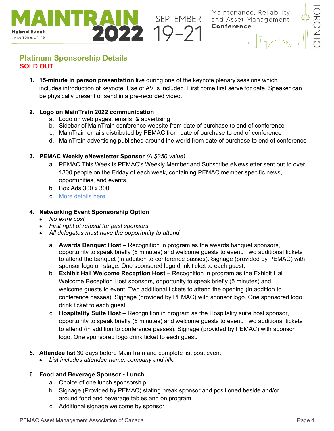

# <span id="page-3-0"></span>**Platinum Sponsorship Details SOLD OUT**

**Hybrid Event** in-person & online

> **1. 15-minute in person presentation** live during one of the keynote plenary sessions which includes introduction of keynote. Use of AV is included. First come first serve for date. Speaker can be physically present or send in a pre-recorded video.

SEPTEMBER

# **2. Logo on MainTrain 2022 communication**

- a. Logo on web pages, emails, & advertising
- b. Sidebar of MainTrain conference website from date of purchase to end of conference
- c. MainTrain emails distributed by PEMAC from date of purchase to end of conference
- d. MainTrain advertising published around the world from date of purchase to end of conference

# **3. PEMAC Weekly eNewsletter Sponsor** *(A \$350 value)*

- a. PEMAC This Week is PEMAC's Weekly Member and Subscribe eNewsletter sent out to over 1300 people on the Friday of each week, containing PEMAC member specific news, opportunities, and events.
- b. Box Ads 300 x 300
- c. [More details here](https://www.pemac.org/sites/default/files/Sponsor_PEMAC_This_Week-%20Interactive_Media_Kit.pdf)

# **4. Networking Event Sponsorship Option**

- *No extra cost*
- *First right of refusal for past sponsors*
- *All delegates must have the opportunity to attend*
	- a. **Awards Banquet Host** Recognition in program as the awards banquet sponsors, opportunity to speak briefly (5 minutes) and welcome guests to event. Two additional tickets to attend the banquet (in addition to conference passes). Signage (provided by PEMAC) with sponsor logo on stage. One sponsored logo drink ticket to each guest.
	- b. **Exhibit Hall Welcome Reception Host –** Recognition in program as the Exhibit Hall Welcome Reception Host sponsors, opportunity to speak briefly (5 minutes) and welcome guests to event. Two additional tickets to attend the opening (in addition to conference passes). Signage (provided by PEMAC) with sponsor logo. One sponsored logo drink ticket to each guest.
	- c. **Hospitality Suite Host** Recognition in program as the Hospitality suite host sponsor, opportunity to speak briefly (5 minutes) and welcome guests to event. Two additional tickets to attend (in addition to conference passes). Signage (provided by PEMAC) with sponsor logo. One sponsored logo drink ticket to each guest.
- **5. Attendee list** 30 days before MainTrain and complete list post event
	- *List includes attendee name, company and title*

# **6. Food and Beverage Sponsor - Lunch**

- a. Choice of one lunch sponsorship
- b. Signage (Provided by PEMAC) stating break sponsor and positioned beside and/or around food and beverage tables and on program
- c. Additional signage welcome by sponsor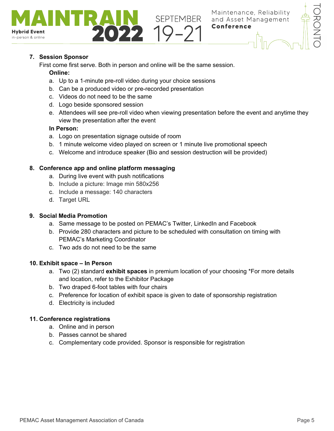

# **7. Session Sponsor**

**Hybrid Event** in-person & online

First come first serve. Both in person and online will be the same session.

#### **Online:**

- a. Up to a 1-minute pre-roll video during your choice sessions
- b. Can be a produced video or pre-recorded presentation
- c. Videos do not need to be the same
- d. Logo beside sponsored session
- e. Attendees will see pre-roll video when viewing presentation before the event and anytime they view the presentation after the event

#### **In Person:**

- a. Logo on presentation signage outside of room
- b. 1 minute welcome video played on screen or 1 minute live promotional speech

SEPTEMBER<br>**22 10-21** 

c. Welcome and introduce speaker (Bio and session destruction will be provided)

# **8. Conference app and online platform messaging**

- a. During live event with push notifications
- b. Include a picture: Image min 580x256
- c. Include a message: 140 characters
- d. Target URL

#### **9. Social Media Promotion**

- a. Same message to be posted on PEMAC's Twitter, LinkedIn and Facebook
- b. Provide 280 characters and picture to be scheduled with consultation on timing with PEMAC's Marketing Coordinator
- c. Two ads do not need to be the same

# **10. Exhibit space – In Person**

- a. Two (2) standard **exhibit spaces** in premium location of your choosing \*For more details and location, refer to the Exhibitor Package
- b. Two draped 6-foot tables with four chairs
- c. Preference for location of exhibit space is given to date of sponsorship registration
- d. Electricity is included

# **11. Conference registrations**

- a. Online and in person
- b. Passes cannot be shared
- c. Complementary code provided. Sponsor is responsible for registration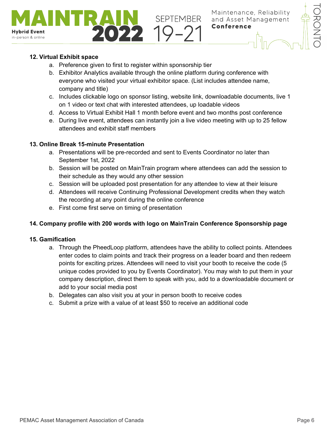

# **12. Virtual Exhibit space**

**Hybrid Event** in-person & online

- a. Preference given to first to register within sponsorship tier
- b. Exhibitor Analytics available through the online platform during conference with everyone who visited your virtual exhibitor space. (List includes attendee name, company and title)
- c. Includes clickable logo on sponsor listing, website link, downloadable documents, live 1 on 1 video or text chat with interested attendees, up loadable videos

SEPTEMBER

- d. Access to Virtual Exhibit Hall 1 month before event and two months post conference
- e. During live event, attendees can instantly join a live video meeting with up to 25 fellow attendees and exhibit staff members

# **13. Online Break 15-minute Presentation**

- a. Presentations will be pre-recorded and sent to Events Coordinator no later than September 1st, 2022
- b. Session will be posted on MainTrain program where attendees can add the session to their schedule as they would any other session
- c. Session will be uploaded post presentation for any attendee to view at their leisure
- d. Attendees will receive Continuing Professional Development credits when they watch the recording at any point during the online conference
- e. First come first serve on timing of presentation

# **14. Company profile with 200 words with logo on MainTrain Conference Sponsorship page**

- a. Through the PheedLoop platform, attendees have the ability to collect points. Attendees enter codes to claim points and track their progress on a leader board and then redeem points for exciting prizes. Attendees will need to visit your booth to receive the code (5 unique codes provided to you by Events Coordinator). You may wish to put them in your company description, direct them to speak with you, add to a downloadable document or add to your social media post
- b. Delegates can also visit you at your in person booth to receive codes
- c. Submit a prize with a value of at least \$50 to receive an additional code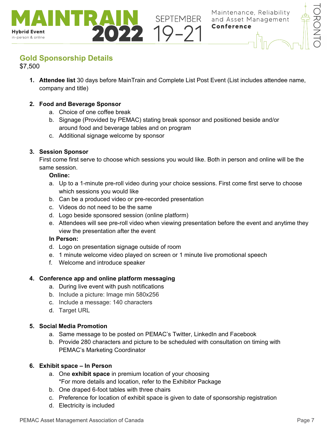<span id="page-6-0"></span>

\$7,500

**Hybrid Event** in-person & online

> **1. Attendee list** 30 days before MainTrain and Complete List Post Event (List includes attendee name, company and title)

**SEPTEMBER** 

#### **2. Food and Beverage Sponsor**

- a. Choice of one coffee break
- b. Signage (Provided by PEMAC) stating break sponsor and positioned beside and/or around food and beverage tables and on program
- c. Additional signage welcome by sponsor

#### **3. Session Sponsor**

First come first serve to choose which sessions you would like. Both in person and online will be the same session.

#### **Online:**

- a. Up to a 1-minute pre-roll video during your choice sessions. First come first serve to choose which sessions you would like
- b. Can be a produced video or pre-recorded presentation
- c. Videos do not need to be the same
- d. Logo beside sponsored session (online platform)
- e. Attendees will see pre-roll video when viewing presentation before the event and anytime they view the presentation after the event

#### **In Person:**

- d. Logo on presentation signage outside of room
- e. 1 minute welcome video played on screen or 1 minute live promotional speech
- f. Welcome and introduce speaker

#### **4. Conference app and online platform messaging**

- a. During live event with push notifications
- b. Include a picture: Image min 580x256
- c. Include a message: 140 characters
- d. Target URL

#### **5. Social Media Promotion**

- a. Same message to be posted on PEMAC's Twitter, LinkedIn and Facebook
- b. Provide 280 characters and picture to be scheduled with consultation on timing with PEMAC's Marketing Coordinator

#### **6. Exhibit space – In Person**

- a. One **exhibit space** in premium location of your choosing \*For more details and location, refer to the Exhibitor Package
- b. One draped 6-foot tables with three chairs
- c. Preference for location of exhibit space is given to date of sponsorship registration
- d. Electricity is included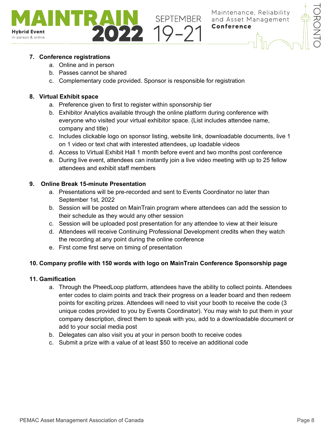



# **7. Conference registrations**

- a. Online and in person
- b. Passes cannot be shared
- c. Complementary code provided. Sponsor is responsible for registration

#### **8. Virtual Exhibit space**

- a. Preference given to first to register within sponsorship tier
- b. Exhibitor Analytics available through the online platform during conference with everyone who visited your virtual exhibitor space. (List includes attendee name, company and title)
- c. Includes clickable logo on sponsor listing, website link, downloadable documents, live 1 on 1 video or text chat with interested attendees, up loadable videos
- d. Access to Virtual Exhibit Hall 1 month before event and two months post conference
- e. During live event, attendees can instantly join a live video meeting with up to 25 fellow attendees and exhibit staff members

# **9. Online Break 15-minute Presentation**

- a. Presentations will be pre-recorded and sent to Events Coordinator no later than September 1st, 2022
- b. Session will be posted on MainTrain program where attendees can add the session to their schedule as they would any other session
- c. Session will be uploaded post presentation for any attendee to view at their leisure
- d. Attendees will receive Continuing Professional Development credits when they watch the recording at any point during the online conference
- e. First come first serve on timing of presentation

# **10. Company profile with 150 words with logo on MainTrain Conference Sponsorship page**

- a. Through the PheedLoop platform, attendees have the ability to collect points. Attendees enter codes to claim points and track their progress on a leader board and then redeem points for exciting prizes. Attendees will need to visit your booth to receive the code (3 unique codes provided to you by Events Coordinator). You may wish to put them in your company description, direct them to speak with you, add to a downloadable document or add to your social media post
- b. Delegates can also visit you at your in person booth to receive codes
- c. Submit a prize with a value of at least \$50 to receive an additional code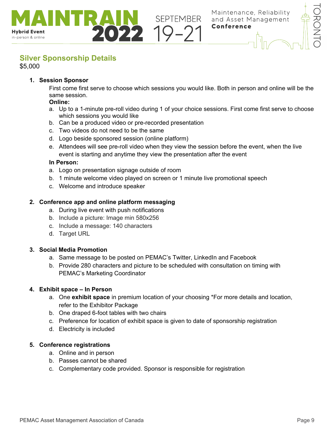

# <span id="page-8-0"></span>**Silver Sponsorship Details**

\$5,000

**Hybrid Event** in-person & online

# **1. Session Sponsor**

First come first serve to choose which sessions you would like. Both in person and online will be the same session.

#### **Online:**

- a. Up to a 1-minute pre-roll video during 1 of your choice sessions. First come first serve to choose which sessions you would like
- b. Can be a produced video or pre-recorded presentation
- c. Two videos do not need to be the same

 $\overline{1}$ 

- d. Logo beside sponsored session (online platform)
- e. Attendees will see pre-roll video when they view the session before the event, when the live event is starting and anytime they view the presentation after the event

#### **In Person:**

- a. Logo on presentation signage outside of room
- b. 1 minute welcome video played on screen or 1 minute live promotional speech

**SEPTEMBER** 

c. Welcome and introduce speaker

#### **2. Conference app and online platform messaging**

- a. During live event with push notifications
- b. Include a picture: Image min 580x256
- c. Include a message: 140 characters
- d. Target URL

#### **3. Social Media Promotion**

- a. Same message to be posted on PEMAC's Twitter, LinkedIn and Facebook
- b. Provide 280 characters and picture to be scheduled with consultation on timing with PEMAC's Marketing Coordinator

#### **4. Exhibit space – In Person**

- a. One **exhibit space** in premium location of your choosing \*For more details and location, refer to the Exhibitor Package
- b. One draped 6-foot tables with two chairs
- c. Preference for location of exhibit space is given to date of sponsorship registration
- d. Electricity is included

#### **5. Conference registrations**

- a. Online and in person
- b. Passes cannot be shared
- c. Complementary code provided. Sponsor is responsible for registration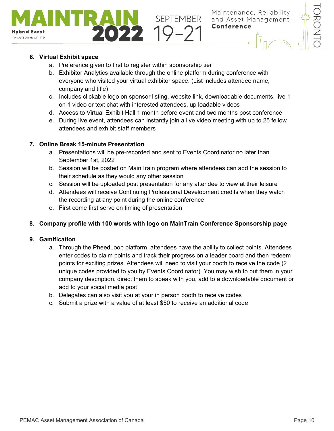

# **6. Virtual Exhibit space**

**Hybrid Event** in-person & online

- a. Preference given to first to register within sponsorship tier
- b. Exhibitor Analytics available through the online platform during conference with everyone who visited your virtual exhibitor space. (List includes attendee name, company and title)
- c. Includes clickable logo on sponsor listing, website link, downloadable documents, live 1 on 1 video or text chat with interested attendees, up loadable videos

**SEPTEMBER** 

- d. Access to Virtual Exhibit Hall 1 month before event and two months post conference
- e. During live event, attendees can instantly join a live video meeting with up to 25 fellow attendees and exhibit staff members

# **7. Online Break 15-minute Presentation**

 $\overline{1}$ 

- a. Presentations will be pre-recorded and sent to Events Coordinator no later than September 1st, 2022
- b. Session will be posted on MainTrain program where attendees can add the session to their schedule as they would any other session
- c. Session will be uploaded post presentation for any attendee to view at their leisure
- d. Attendees will receive Continuing Professional Development credits when they watch the recording at any point during the online conference
- e. First come first serve on timing of presentation

# **8. Company profile with 100 words with logo on MainTrain Conference Sponsorship page**

- a. Through the PheedLoop platform, attendees have the ability to collect points. Attendees enter codes to claim points and track their progress on a leader board and then redeem points for exciting prizes. Attendees will need to visit your booth to receive the code (2 unique codes provided to you by Events Coordinator). You may wish to put them in your company description, direct them to speak with you, add to a downloadable document or add to your social media post
- b. Delegates can also visit you at your in person booth to receive codes
- c. Submit a prize with a value of at least \$50 to receive an additional code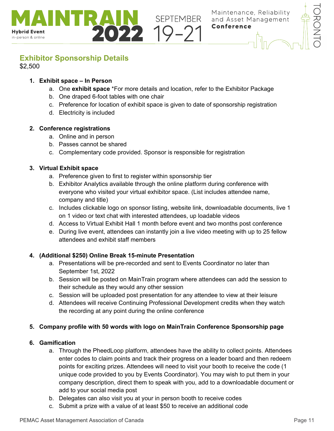

# <span id="page-10-0"></span>**Exhibitor Sponsorship Details**

\$2,500

**Hybrid Event** in-person & online

#### **1. Exhibit space – In Person**

a. One **exhibit space** \*For more details and location, refer to the Exhibitor Package

**SEPTEMBER**<br>22 19-21

b. One draped 6-foot tables with one chair

 $\overline{1}$ 

- c. Preference for location of exhibit space is given to date of sponsorship registration
- d. Electricity is included

#### **2. Conference registrations**

- a. Online and in person
- b. Passes cannot be shared
- c. Complementary code provided. Sponsor is responsible for registration

#### **3. Virtual Exhibit space**

- a. Preference given to first to register within sponsorship tier
- b. Exhibitor Analytics available through the online platform during conference with everyone who visited your virtual exhibitor space. (List includes attendee name, company and title)
- c. Includes clickable logo on sponsor listing, website link, downloadable documents, live 1 on 1 video or text chat with interested attendees, up loadable videos
- d. Access to Virtual Exhibit Hall 1 month before event and two months post conference
- e. During live event, attendees can instantly join a live video meeting with up to 25 fellow attendees and exhibit staff members

#### **4. (Additional \$250) Online Break 15-minute Presentation**

- a. Presentations will be pre-recorded and sent to Events Coordinator no later than September 1st, 2022
- b. Session will be posted on MainTrain program where attendees can add the session to their schedule as they would any other session
- c. Session will be uploaded post presentation for any attendee to view at their leisure
- d. Attendees will receive Continuing Professional Development credits when they watch the recording at any point during the online conference

#### **5. Company profile with 50 words with logo on MainTrain Conference Sponsorship page**

- a. Through the PheedLoop platform, attendees have the ability to collect points. Attendees enter codes to claim points and track their progress on a leader board and then redeem points for exciting prizes. Attendees will need to visit your booth to receive the code (1 unique code provided to you by Events Coordinator). You may wish to put them in your company description, direct them to speak with you, add to a downloadable document or add to your social media post
- b. Delegates can also visit you at your in person booth to receive codes
- c. Submit a prize with a value of at least \$50 to receive an additional code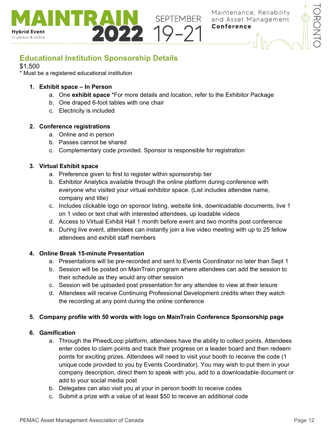

<span id="page-11-0"></span>

 $\overline{1}$ 

#### \$1,500

**Hybrid Event** in-person & online

\* Must be a registered educational institution

#### **1. Exhibit space – In Person**

a. One **exhibit space** \*For more details and location, refer to the Exhibitor Package

**SEPTEMBER** 

- b. One draped 6-foot tables with one chair
- c. Electricity is included

#### **2. Conference registrations**

- a. Online and in person
- b. Passes cannot be shared
- c. Complementary code provided. Sponsor is responsible for registration

#### **3. Virtual Exhibit space**

- a. Preference given to first to register within sponsorship tier
- b. Exhibitor Analytics available through the online platform during conference with everyone who visited your virtual exhibitor space. (List includes attendee name, company and title)
- c. Includes clickable logo on sponsor listing, website link, downloadable documents, live 1 on 1 video or text chat with interested attendees, up loadable videos
- d. Access to Virtual Exhibit Hall 1 month before event and two months post conference
- e. During live event, attendees can instantly join a live video meeting with up to 25 fellow attendees and exhibit staff members

#### **4. Online Break 15-minute Presentation**

- a. Presentations will be pre-recorded and sent to Events Coordinator no later than Sept 1
- b. Session will be posted on MainTrain program where attendees can add the session to their schedule as they would any other session
- c. Session will be uploaded post presentation for any attendee to view at their leisure
- d. Attendees will receive Continuing Professional Development credits when they watch the recording at any point during the online conference

#### **5. Company profile with 50 words with logo on MainTrain Conference Sponsorship page**

- a. Through the PheedLoop platform, attendees have the ability to collect points. Attendees enter codes to claim points and track their progress on a leader board and then redeem points for exciting prizes. Attendees will need to visit your booth to receive the code (1 unique code provided to you by Events Coordinator). You may wish to put them in your company description, direct them to speak with you, add to a downloadable document or add to your social media post
- b. Delegates can also visit you at your in person booth to receive codes
- c. Submit a prize with a value of at least \$50 to receive an additional code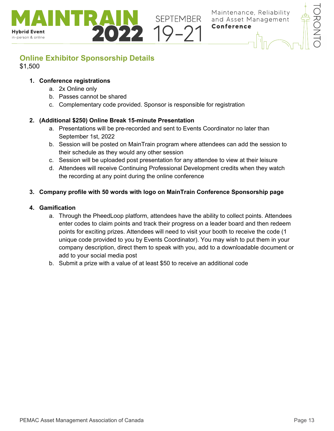

# <span id="page-12-0"></span>**Online Exhibitor Sponsorship Details** \$1,500

 $\overline{1}$ 

#### **1. Conference registrations**

**Hybrid Event** in-person & online

- a. 2x Online only
- b. Passes cannot be shared
- c. Complementary code provided. Sponsor is responsible for registration

# **2. (Additional \$250) Online Break 15-minute Presentation**

- a. Presentations will be pre-recorded and sent to Events Coordinator no later than September 1st, 2022
- b. Session will be posted on MainTrain program where attendees can add the session to their schedule as they would any other session

**SEPTEMBER** 

- c. Session will be uploaded post presentation for any attendee to view at their leisure
- d. Attendees will receive Continuing Professional Development credits when they watch the recording at any point during the online conference

# **3. Company profile with 50 words with logo on MainTrain Conference Sponsorship page**

- a. Through the PheedLoop platform, attendees have the ability to collect points. Attendees enter codes to claim points and track their progress on a leader board and then redeem points for exciting prizes. Attendees will need to visit your booth to receive the code (1 unique code provided to you by Events Coordinator). You may wish to put them in your company description, direct them to speak with you, add to a downloadable document or add to your social media post
- b. Submit a prize with a value of at least \$50 to receive an additional code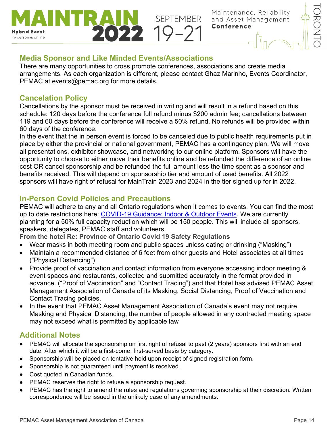

# <span id="page-13-0"></span>**Media Sponsor and Like Minded Events/Associations**

 $\overline{1}$ 

There are many opportunities to cross promote conferences, associations and create media arrangements. As each organization is different, please contact Ghaz Marinho, Events Coordinator, PEMAC at [events@pemac.org](mailto:events@pemac.org) for more details.

 $02219-2$ 

SEPTEMBER

# <span id="page-13-1"></span>**Cancelation Policy**

**Hybrid Event** in-person & online

> Cancellations by the sponsor must be received in writing and will result in a refund based on this schedule: 120 days before the conference full refund minus \$200 admin fee; cancellations between 119 and 60 days before the conference will receive a 50% refund. No refunds will be provided within 60 days of the conference.

> In the event that the in person event is forced to be canceled due to public health requirements put in place by either the provincial or national government, PEMAC has a contingency plan. We will move all presentations, exhibitor showcase, and networking to our online platform. Sponsors will have the opportunity to choose to either move their benefits online and be refunded the difference of an online cost OR cancel sponsorship and be refunded the full amount less the time spent as a sponsor and benefits received. This will depend on sponsorship tier and amount of used benefits. All 2022 sponsors will have right of refusal for MainTrain 2023 and 2024 in the tier signed up for in 2022.

# <span id="page-13-2"></span>**In-Person Covid Policies and Precautions**

PEMAC will adhere to any and all Ontario regulations when it comes to events. You can find the most up to date restrictions here: [COVID-19 Guidance: Indoor & Outdoor Events.](https://www.toronto.ca/home/covid-19/covid-19-reopening-recovery-rebuild/covid-19-reopening-guidelines-for-businesses-organizations/covid-19-guidance-indoor-outdoor-events/) We are currently planning for a 50% full capacity reduction which will be 150 people. This will include all sponsors, speakers, delegates, PEMAC staff and volunteers.

<span id="page-13-3"></span>**From the hotel Re: Province of Ontario Covid 19 Safety Regulations**

- Wear masks in both meeting room and public spaces unless eating or drinking ("Masking")
- Maintain a recommended distance of 6 feet from other guests and Hotel associates at all times ("Physical Distancing")
- Provide proof of vaccination and contact information from everyone accessing indoor meeting & event spaces and restaurants, collected and submitted accurately in the format provided in advance. ("Proof of Vaccination" and "Contact Tracing") and that Hotel has advised PEMAC Asset Management Association of Canada of its Masking, Social Distancing, Proof of Vaccination and Contact Tracing policies.
- In the event that PEMAC Asset Management Association of Canada's event may not require Masking and Physical Distancing, the number of people allowed in any contracted meeting space may not exceed what is permitted by applicable law

# <span id="page-13-4"></span>**Additional Notes**

- PEMAC will allocate the sponsorship on first right of refusal to past (2 years) sponsors first with an end date. After which it will be a first-come, first-served basis by category.
- Sponsorship will be placed on tentative hold upon receipt of signed registration form.
- Sponsorship is not guaranteed until payment is received.
- Cost quoted in Canadian funds.
- PEMAC reserves the right to refuse a sponsorship request.
- PEMAC has the right to amend the rules and regulations governing sponsorship at their discretion. Written correspondence will be issued in the unlikely case of any amendments.